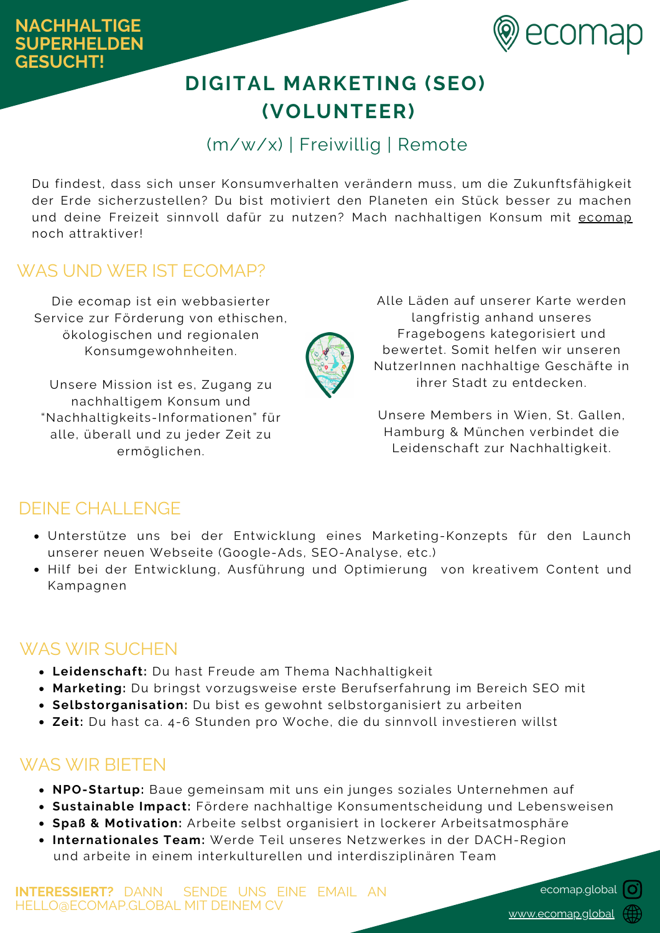

# **DIGITAL MARKETING (SEO) (VOLUNTEER)**

## (m/w/x) | Freiwillig | Remote

Du findest, dass sich unser Konsumverhalten verändern muss, um die Zukunftsfähigkeit der Erde sicherzustellen? Du bist motiviert den Planeten ein Stück besser zu machen und deine Freizeit sinnvoll dafür zu nutzen? Mach nachhaltigen Konsum mit [ecomap](https://ecomap.global/) noch attraktiver!

### WAS UND WER IST ECOMAP?

Die ecomap ist ein webbasierter Service zur Förderung von ethischen, ökologischen und regionalen Konsumgewohnheiten.

Unsere Mission ist es, Zugang zu nachhaltigem Konsum und "Nachhaltigkeits-Informationen" für alle, überall und zu jeder Zeit zu ermöglichen.

Alle Läden auf unserer Karte werden langfristig anhand unseres Fragebogens kategorisiert und bewertet. Somit helfen wir unseren NutzerInnen nachhaltige Geschäfte in ihrer Stadt zu entdecken.

Unsere Members in Wien, St. Gallen, Hamburg & München verbindet die Leidenschaft zur Nachhaltigkeit.

#### DEINE CHALLENGE

- Unterstütze uns bei der Entwicklung eines Marketing-Konzepts für den Launch unserer neuen Webseite (Google-Ads, SEO-Analyse, etc.)
- Hilf bei der Entwicklung, Ausführung und Optimierung von kreativem Content und Kampagnen

### WAS WIR SUCHEN

- **Leidenschaft:** Du hast Freude am Thema Nachhaltigkeit
- **Marketing:** Du bringst vorzugsweise erste Berufserfahrung im Bereich SEO mit
- **Selbstorganisation:** Du bist es gewohnt selbstorganisiert zu arbeiten
- **Zeit:** Du hast ca. 4-6 Stunden pro Woche, die du sinnvoll investieren willst

### WAS WIR BIETEN

- **NPO-Startup:** Baue gemeinsam mit uns ein junges soziales Unternehmen auf
- **Sustainable Impact:** Fördere nachhaltige Konsumentscheidung und Lebensweisen
- **Spaß & Motivation:** Arbeite selbst organisiert in lockerer Arbeitsatmosphäre
- **Internationales Team:** Werde Teil unseres Netzwerkes in der DACH-Region und arbeite in einem interkulturellen und interdisziplinären Team